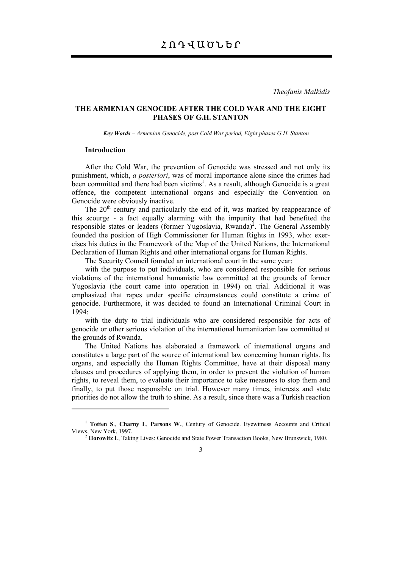*Theofanis Malkidis* 

## **THE ARMENIAN GENOCIDE AFTER THE COLD WAR AND THE EIGHT PHASES OF G.H. STANTON**

*Key Words – Armenian Genocide, post Cold War period, Eight phases G.H. Stanton* 

### **Introduction**

After the Cold War, the prevention of Genocide was stressed and not only its punishment, which, *a posteriori*, was of moral importance alone since the crimes had been committed and there had been victims<sup>1</sup>. As a result, although Genocide is a great offence, the competent international organs and especially the Convention on Genocide were obviously inactive.

The  $20<sup>th</sup>$  century and particularly the end of it, was marked by reappearance of this scourge - a fact equally alarming with the impunity that had benefited the responsible states or leaders (former Yugoslavia, Rwanda)<sup>2</sup>. The General Assembly founded the position of High Commissioner for Human Rights in 1993, who: exercises his duties in the Framework of the Map of the United Nations, the International Declaration of Human Rights and other international organs for Human Rights.

The Security Council founded an international court in the same year:

with the purpose to put individuals, who are considered responsible for serious violations of the international humanistic law committed at the grounds of former Yugoslavia (the court came into operation in 1994) on trial. Additional it was emphasized that rapes under specific circumstances could constitute a crime of genocide. Furthermore, it was decided to found an International Criminal Court in 1994:

with the duty to trial individuals who are considered responsible for acts of genocide or other serious violation of the international humanitarian law committed at the grounds of Rwanda.

The United Nations has elaborated a framework of international organs and constitutes a large part of the source of international law concerning human rights. Its organs, and especially the Human Rights Committee, have at their disposal many clauses and procedures of applying them, in order to prevent the violation of human rights, to reveal them, to evaluate their importance to take measures to stop them and finally, to put those responsible on trial. However many times, interests and state priorities do not allow the truth to shine. As a result, since there was a Turkish reaction

<sup>&</sup>lt;sup>1</sup> **Totten S., Charny I., Parsons W., Century of Genocide. Eyewitness Accounts and Critical Views, New York, 1997.** 

<sup>&</sup>lt;sup>2</sup> Horowitz I., Taking Lives: Genocide and State Power Transaction Books, New Brunswick, 1980.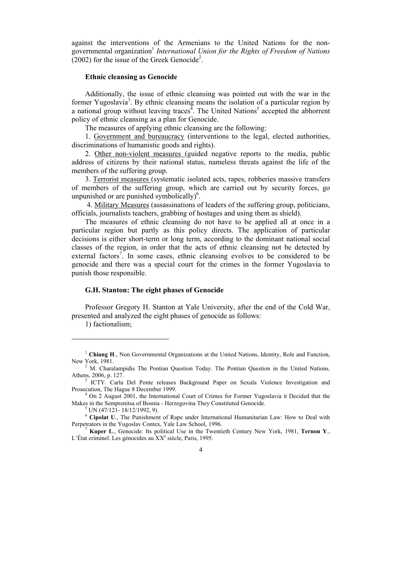against the interventions of the Armenians to the United Nations for the nongovernmental organization1 *International Union for the Rights of Freedom of Nations*  $(2002)$  for the issue of the Greek Genocide<sup>2</sup>.

#### **Ethnic cleansing as Genocide**

Additionally, the issue of ethnic cleansing was pointed out with the war in the former Yugoslavia<sup>3</sup>. By ethnic cleansing means the isolation of a particular region by a national group without leaving traces<sup> $4$ </sup>. The United Nations<sup>5</sup> accepted the abhorrent policy of ethnic cleansing as a plan for Genocide.

The measures of applying ethnic cleansing are the following:

1. Government and bureaucracy (interventions to the legal, elected authorities, discriminations of humanistic goods and rights).

2. Other non-violent measures (guided negative reports to the media, public address of citizens by their national status, nameless threats against the life of the members of the suffering group.

3. Terrorist measures (systematic isolated acts, rapes, robberies massive transfers of members of the suffering group, which are carried out by security forces, go unpunished or are punished symbolically $)^6$ .

 4. Military Measures (assassinations of leaders of the suffering group, politicians, officials, journalists teachers, grabbing of hostages and using them as shield).

The measures of ethnic cleansing do not have to be applied all at once in a particular region but partly as this policy directs. The application of particular decisions is either short-term or long term, according to the dominant national social classes of the region, in order that the acts of ethnic cleansing not be detected by external factors<sup>7</sup>. In some cases, ethnic cleansing evolves to be considered to be genocide and there was a special court for the crimes in the former Yugoslavia to punish those responsible.

#### **G.H. Stanton: The eight phases of Genocide**

Professor Gregory H. Stanton at Yale University, after the end of the Cold War, presented and analyzed the eight phases of genocide as follows:

1) factionalism;

<sup>1</sup> **Chiang H**., Non Governmental Organizations at the United Nations, Identity, Role and Function, New York, 1981.<br><sup>2</sup> M. Charalampidis The Pontian Question Today. The Pontian Question in the United Nations.

Athens, 2006, p. 127.

<sup>&</sup>lt;sup>3</sup> ICTY. Carla Del Ponte releases Background Paper on Sexula Violence Investigation and Prosecution, The Hague 8 December 1999.

<sup>&</sup>lt;sup>4</sup> On 2 August 2001, the International Court of Crimes for Former Yugoslavia it Decided that the Makes in the Semprenitsa of Bosnia - Herzegovina They Constituted Genocide. 5

 $5$  UN (47/121- 18/12/1992, 9).

<sup>&</sup>lt;sup>6</sup> **Cipolat U**., The Punishment of Rape under International Humanitarian Law: How to Deal with Perpetrators in the Yugoslav Contex, Yale Law School, 1996.

Kuper L., Genocide: Its political Use in the Twentieth Century New York, 1981, Ternon Y., L'État criminel. Les génocides au XX<sup>e</sup> siècle, Paris, 1995.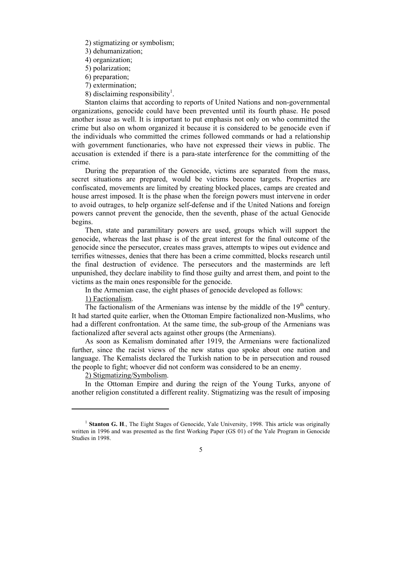2) stigmatizing or symbolism;

3) dehumanization;

4) organization;

5) polarization;

- 6) preparation;
- 7) extermination;
- 8) disclaiming responsibility<sup>1</sup>.

Stanton claims that according to reports of United Nations and non-governmental organizations, genocide could have been prevented until its fourth phase. He posed another issue as well. It is important to put emphasis not only on who committed the crime but also on whom organized it because it is considered to be genocide even if the individuals who committed the crimes followed commands or had a relationship with government functionaries, who have not expressed their views in public. The accusation is extended if there is a para-state interference for the committing of the crime.

During the preparation of the Genocide, victims are separated from the mass, secret situations are prepared, would be victims become targets. Properties are confiscated, movements are limited by creating blocked places, camps are created and house arrest imposed. It is the phase when the foreign powers must intervene in order to avoid outrages, to help organize self-defense and if the United Nations and foreign powers cannot prevent the genocide, then the seventh, phase of the actual Genocide begins.

Then, state and paramilitary powers are used, groups which will support the genocide, whereas the last phase is of the great interest for the final outcome of the genocide since the persecutor, creates mass graves, attempts to wipes out evidence and terrifies witnesses, denies that there has been a crime committed, blocks research until the final destruction of evidence. The persecutors and the masterminds are left unpunished, they declare inability to find those guilty and arrest them, and point to the victims as the main ones responsible for the genocide.

In the Armenian case, the eight phases of genocide developed as follows:

1) Factionalism.

The factionalism of the Armenians was intense by the middle of the  $19<sup>th</sup>$  century. It had started quite earlier, when the Ottoman Empire factionalized non-Muslims, who had a different confrontation. At the same time, the sub-group of the Armenians was factionalized after several acts against other groups (the Armenians).

As soon as Kemalism dominated after 1919, the Armenians were factionalized further, since the racist views of the new status quo spoke about one nation and language. The Kemalists declared the Turkish nation to be in persecution and roused the people to fight; whoever did not conform was considered to be an enemy.

2) Stigmatizing/Symbolism.

In the Ottoman Empire and during the reign of the Young Turks, anyone of another religion constituted a different reality. Stigmatizing was the result of imposing

<sup>&</sup>lt;sup>1</sup> **Stanton G. H.**, The Eight Stages of Genocide, Yale University, 1998. This article was originally written in 1996 and was presented as the first Working Paper (GS 01) of the Yale Program in Genocide Studies in 1998.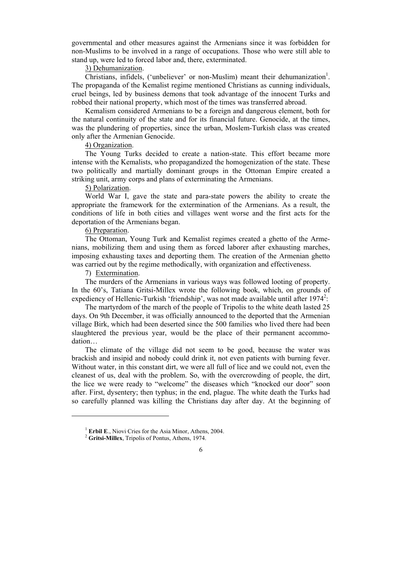governmental and other measures against the Armenians since it was forbidden for non-Muslims to be involved in a range of occupations. Those who were still able to stand up, were led to forced labor and, there, exterminated.

### 3) Dehumanization.

Christians, infidels, ('unbeliever' or non-Muslim) meant their dehumanization<sup>1</sup>. The propaganda of the Kemalist regime mentioned Christians as cunning individuals, cruel beings, led by business demons that took advantage of the innocent Turks and robbed their national property, which most of the times was transferred abroad.

Kemalism considered Armenians to be a foreign and dangerous element, both for the natural continuity of the state and for its financial future. Genocide, at the times, was the plundering of properties, since the urban, Moslem-Turkish class was created only after the Armenian Genocide.

### 4) Organization.

The Young Turks decided to create a nation-state. This effort became more intense with the Kemalists, who propagandized the homogenization of the state. These two politically and martially dominant groups in the Ottoman Empire created a striking unit, army corps and plans of exterminating the Armenians.

## 5) Polarization.

World War I, gave the state and para-state powers the ability to create the appropriate the framework for the extermination of the Armenians. As a result, the conditions of life in both cities and villages went worse and the first acts for the deportation of the Armenians began.

#### 6) Preparation.

The Ottoman, Young Turk and Kemalist regimes created a ghetto of the Armenians, mobilizing them and using them as forced laborer after exhausting marches, imposing exhausting taxes and deporting them. The creation of the Armenian ghetto was carried out by the regime methodically, with organization and effectiveness.

## 7) Extermination.

The murders of the Armenians in various ways was followed looting of property. In the 60's, Tatiana Gritsi-Millex wrote the following book, which, on grounds of expediency of Hellenic-Turkish 'friendship', was not made available until after 1974<sup>2</sup>:

The martyrdom of the march of the people of Tripolis to the white death lasted 25 days. On 9th December, it was officially announced to the deported that the Armenian village Birk, which had been deserted since the 500 families who lived there had been slaughtered the previous year, would be the place of their permanent accommodation…

The climate of the village did not seem to be good, because the water was brackish and insipid and nobody could drink it, not even patients with burning fever. Without water, in this constant dirt, we were all full of lice and we could not, even the cleanest of us, deal with the problem. So, with the overcrowding of people, the dirt, the lice we were ready to "welcome" the diseases which "knocked our door" soon after. First, dysentery; then typhus; in the end, plague. The white death the Turks had so carefully planned was killing the Christians day after day. At the beginning of

<sup>&</sup>lt;sup>1</sup> Erbil E., Niovi Cries for the Asia Minor, Athens, 2004.

<sup>&</sup>lt;sup>2</sup> Gritsi-Millex, Tripolis of Pontus, Athens, 1974.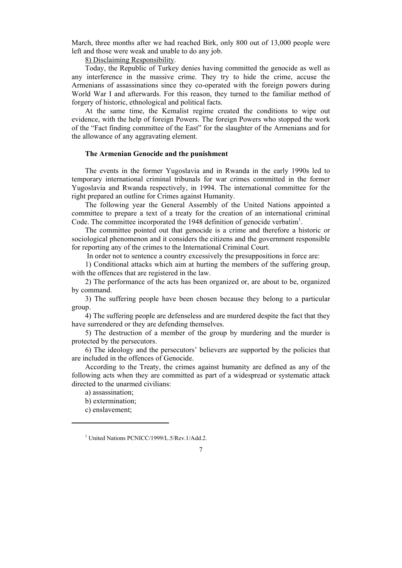March, three months after we had reached Birk, only 800 out of 13,000 people were left and those were weak and unable to do any job.

8) Disclaiming Responsibility.

Today, the Republic of Turkey denies having committed the genocide as well as any interference in the massive crime. They try to hide the crime, accuse the Armenians of assassinations since they co-operated with the foreign powers during World War I and afterwards. For this reason, they turned to the familiar method of forgery of historic, ethnological and political facts.

At the same time, the Kemalist regime created the conditions to wipe out evidence, with the help of foreign Powers. The foreign Powers who stopped the work of the "Fact finding committee of the East" for the slaughter of the Armenians and for the allowance of any aggravating element.

## **The Armenian Genocide and the punishment**

The events in the former Yugoslavia and in Rwanda in the early 1990s led to temporary international criminal tribunals for war crimes committed in the former Yugoslavia and Rwanda respectively, in 1994. The international committee for the right prepared an outline for Crimes against Humanity.

The following year the General Assembly of the United Nations appointed a committee to prepare a text of a treaty for the creation of an international criminal Code. The committee incorporated the 1948 definition of genocide verbatim<sup>1</sup>.

The committee pointed out that genocide is a crime and therefore a historic or sociological phenomenon and it considers the citizens and the government responsible for reporting any of the crimes to the International Criminal Court.

In order not to sentence a country excessively the presuppositions in force are:

1) Conditional attacks which aim at hurting the members of the suffering group, with the offences that are registered in the law.

2) The performance of the acts has been organized or, are about to be, organized by command.

3) The suffering people have been chosen because they belong to a particular group.

4) The suffering people are defenseless and are murdered despite the fact that they have surrendered or they are defending themselves.

5) The destruction of a member of the group by murdering and the murder is protected by the persecutors.

6) The ideology and the persecutors' believers are supported by the policies that are included in the offences of Genocide.

According to the Treaty, the crimes against humanity are defined as any of the following acts when they are committed as part of a widespread or systematic attack directed to the unarmed civilians:

a) assassination;

b) extermination;

c) enslavement;

<sup>1</sup> United Nations PCNICC/1999/L.5/Rev.1/Add.2.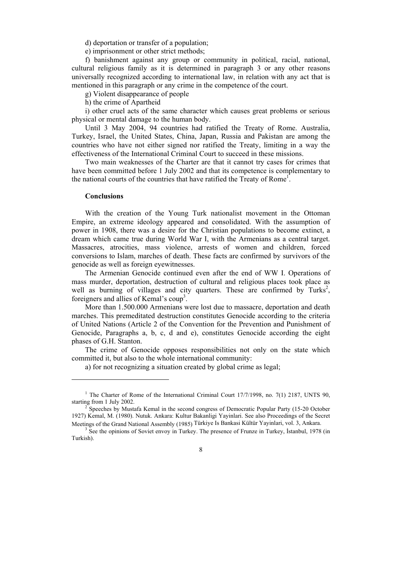d) deportation or transfer of a population;

e) imprisonment or other strict methods;

f) banishment against any group or community in political, racial, national, cultural religious family as it is determined in paragraph 3 or any other reasons universally recognized according to international law, in relation with any act that is mentioned in this paragraph or any crime in the competence of the court.

g) Violent disappearance of people

h) the crime of Apartheid

i) other cruel acts of the same character which causes great problems or serious physical or mental damage to the human body.

Until 3 May 2004, 94 countries had ratified the Treaty of Rome. Australia, Turkey, Israel, the United States, China, Japan, Russia and Pakistan are among the countries who have not either signed nor ratified the Treaty, limiting in a way the effectiveness of the International Criminal Court to succeed in these missions.

Two main weaknesses of the Charter are that it cannot try cases for crimes that have been committed before 1 July 2002 and that its competence is complementary to the national courts of the countries that have ratified the Treaty of Rome<sup>1</sup>.

#### **Conclusions**

With the creation of the Young Turk nationalist movement in the Ottoman Empire, an extreme ideology appeared and consolidated. With the assumption of power in 1908, there was a desire for the Christian populations to become extinct, a dream which came true during World War I, with the Armenians as a central target. Massacres, atrocities, mass violence, arrests of women and children, forced conversions to Islam, marches of death. These facts are confirmed by survivors of the genocide as well as foreign eyewitnesses.

The Armenian Genocide continued even after the end of WW I. Operations of mass murder, deportation, destruction of cultural and religious places took place as well as burning of villages and city quarters. These are confirmed by Turks<sup>2</sup>, foreigners and allies of Kemal's coup3 .

More than 1.500.000 Armenians were lost due to massacre, deportation and death marches. This premeditated destruction constitutes Genocide according to the criteria of United Nations (Article 2 of the Convention for the Prevention and Punishment of Genocide, Paragraphs a, b, c, d and e), constitutes Genocide according the eight phases of G.H. Stanton.

The crime of Genocide opposes responsibilities not only on the state which committed it, but also to the whole international community:

a) for not recognizing a situation created by global crime as legal;

<sup>&</sup>lt;sup>1</sup> The Charter of Rome of the International Criminal Court  $17/7/1998$ , no. 7(1) 2187, UNTS 90, starting from 1 July 2002.

Speeches by Mustafa Kemal in the second congress of Democratic Popular Party (15-20 October 1927) Kemal, M. (1980). Nutuk. Ankara: Kultur Bakanligi Yayinlari. See also Proceedings of the Secret Meetings of the Grand National Assembly (1985) Türkiye Is Bankasi Kültür Yayinlari, vol. 3, Ankara.

<sup>&</sup>lt;sup>3</sup> See the opinions of Soviet envoy in Turkey. The presence of Frunze in Turkey, İstanbul, 1978 (in Turkish).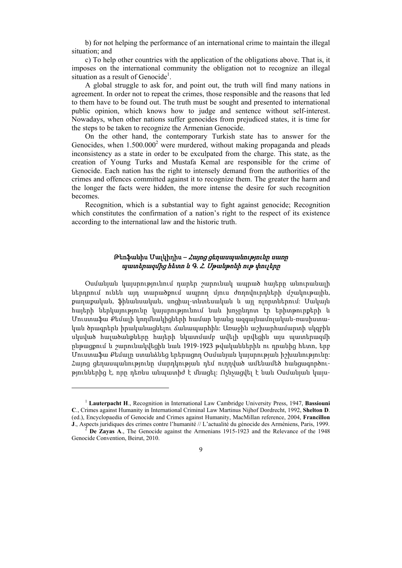b) for not helping the performance of an international crime to maintain the illegal situation; and

c) To help other countries with the application of the obligations above. That is, it imposes on the international community the obligation not to recognize an illegal situation as a result of Genocide<sup>1</sup>.

A global struggle to ask for, and point out, the truth will find many nations in agreement. In order not to repeat the crimes, those responsible and the reasons that led to them have to be found out. The truth must be sought and presented to international public opinion, which knows how to judge and sentence without self-interest. Nowadays, when other nations suffer genocides from prejudiced states, it is time for the steps to be taken to recognize the Armenian Genocide.

On the other hand, the contemporary Turkish state has to answer for the Genocides, when  $1.500.000<sup>2</sup>$  were murdered, without making propaganda and pleads inconsistency as a state in order to be exculpated from the charge. This state, as the creation of Young Turks and Mustafa Kemal are responsible for the crime of Genocide. Each nation has the right to intensely demand from the authorities of the crimes and offences committed against it to recognize them. The greater the harm and the longer the facts were hidden, the more intense the desire for such recognition becomes.

Recognition, which is a substantial way to fight against genocide; Recognition which constitutes the confirmation of a nation's right to the respect of its existence according to the international law and the historic truth.

# Թեոֆանիս Մալկիդիս – Հայոց ցեղասպանությունը սառը պատերազմից հետո և <sup>Գ</sup>. Հ. Սթանթոնի ութ փուլերը

Օսմանյան կայսրությունում դարեր շարունակ ապրած հայերը անուրանալի ներդրում ունեն այդ տարածքում ապրող մյուս ժողովուրդների մշակութային, քաղաքական, ֆինանսական, սոցիալ-տնտեսական և այլ ոլորտներում: Սակայն հայերի ներկայությունը կայսրությունում նաև խոչընդոտ էր երիտթուրքերի և Մուստաֆա Քեմալի կողմնակիցների համար նրանց ազգայնամոլական-ռասիստական ծրագրերն իրականացնելու ճանապարհին: Առաջին աշխարհամարտի սկզբին սկսված հալածանքները հայերի նկատմամբ ավելի սրվեցին այս պատերազմի ընթացքում և շարունակվեցին նաև 1919-1923 թվականներին ու դրանից հետո, երբ Մուստաֆա Քեմալը ստանձնեց երերացող Օսմանյան կայսրության իշխանությունը: Հայոց ցեղասպանությունը մարդկության դեմ ուղղված ամենամեծ հանցագործություններից է, որը դեռևս անպատիժ է մնացել: Ոչնչացվել է նաև Օսմանյան կայս-

<sup>1</sup> **Lauterpacht H**., Recognition in International Law Cambridge University Press, 1947, **Bassiouni C**., Crimes against Humanity in International Criminal Law Martinus Nijhof Dordrecht, 1992, **Shelton D**. (ed.), Encyclopaedia of Genocide and Crimes against Humanity, MacMillan reference, 2004, **Francillon J**., Aspects juridiques des crimes contre l'humanité // L'actualité du génocide des Arméniens, Paris, 1999.<br><sup>2</sup> **De Zayas A**., The Genocide against the Armenians 1915-1923 and the Relevance of the 1948

Genocide Convention, Beirut, 2010.